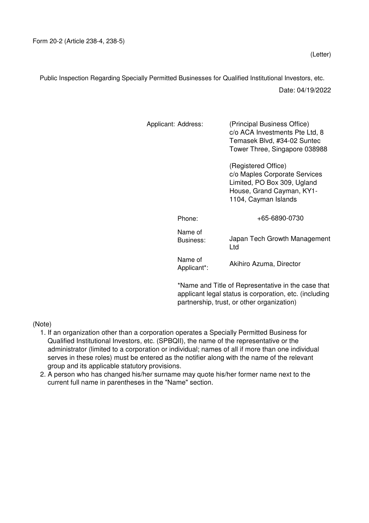Public Inspection Regarding Specially Permitted Businesses for Qualified Institutional Investors, etc.

Date: 04/19/2022

| Applicant: Address:    |     | (Principal Business Office)<br>c/o ACA Investments Pte Ltd, 8<br>Temasek Blvd, #34-02 Suntec<br>Tower Three, Singapore 038988            |  |  |
|------------------------|-----|------------------------------------------------------------------------------------------------------------------------------------------|--|--|
|                        |     | (Registered Office)<br>c/o Maples Corporate Services<br>Limited, PO Box 309, Ugland<br>House, Grand Cayman, KY1-<br>1104, Cayman Islands |  |  |
| Phone:                 |     | +65-6890-0730                                                                                                                            |  |  |
| Name of<br>Business:   | Ltd | Japan Tech Growth Management                                                                                                             |  |  |
| Name of<br>Applicant*: |     | Akihiro Azuma, Director                                                                                                                  |  |  |

\*Name and Title of Representative in the case that applicant legal status is corporation, etc. (including partnership, trust, or other organization)

(Note)

- 1. If an organization other than a corporation operates a Specially Permitted Business for Qualified Institutional Investors, etc. (SPBQII), the name of the representative or the administrator (limited to a corporation or individual; names of all if more than one individual serves in these roles) must be entered as the notifier along with the name of the relevant group and its applicable statutory provisions.
- 2. A person who has changed his/her surname may quote his/her former name next to the current full name in parentheses in the "Name" section.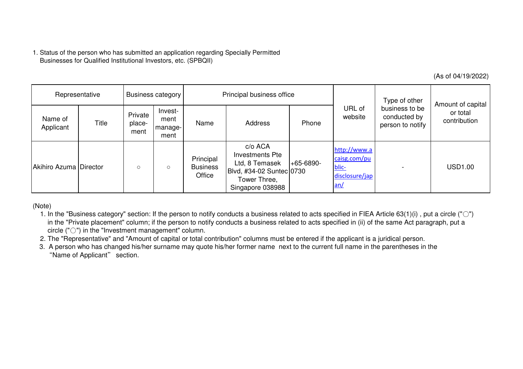|                        |                                                                                                      |                           |                                    |                                        |                                                                                                                                                                                                                                                                                                                                                                                                                                                                                                                                                                                                      |             |                                                                |                                                    | (As of 04/19/2022)                            |
|------------------------|------------------------------------------------------------------------------------------------------|---------------------------|------------------------------------|----------------------------------------|------------------------------------------------------------------------------------------------------------------------------------------------------------------------------------------------------------------------------------------------------------------------------------------------------------------------------------------------------------------------------------------------------------------------------------------------------------------------------------------------------------------------------------------------------------------------------------------------------|-------------|----------------------------------------------------------------|----------------------------------------------------|-----------------------------------------------|
| Representative         |                                                                                                      | <b>Business category</b>  |                                    | Principal business office              |                                                                                                                                                                                                                                                                                                                                                                                                                                                                                                                                                                                                      |             |                                                                | Type of other                                      |                                               |
| Name of<br>Applicant   | Title                                                                                                | Private<br>place-<br>ment | Invest-<br>ment<br>manage-<br>ment | Name                                   | Address                                                                                                                                                                                                                                                                                                                                                                                                                                                                                                                                                                                              | Phone       | URL of<br>website                                              | business to be<br>conducted by<br>person to notify | Amount of capital<br>or total<br>contribution |
| Akihiro Azuma Director |                                                                                                      | $\circ$                   | $\circ$                            | Principal<br><b>Business</b><br>Office | c/o ACA<br><b>Investments Pte</b><br>Ltd, 8 Temasek<br>Blvd, #34-02 Suntec 0730<br>Tower Three,<br>Singapore 038988                                                                                                                                                                                                                                                                                                                                                                                                                                                                                  | $+65-6890-$ | http://www.a<br>caisg.com/pu<br>blic-<br>disclosure/jap<br>an/ |                                                    | <b>USD1.00</b>                                |
| (Note)                 | circle $($ " $\bigcirc$ " $)$ in the "Investment management" column.<br>"Name of Applicant" section. |                           |                                    |                                        | 1. In the "Business category" section: If the person to notify conducts a business related to acts specified in FIEA Article 63(1)(i), put a circle (" $\circ$ ")<br>in the "Private placement" column; if the person to notify conducts a business related to acts specified in (ii) of the same Act paragraph, put a<br>2. The "Representative" and "Amount of capital or total contribution" columns must be entered if the applicant is a juridical person.<br>3. A person who has changed his/her surname may quote his/her former name next to the current full name in the parentheses in the |             |                                                                |                                                    |                                               |

- 1. In the "Business category" section: If the person to notify conducts a business related to acts specified in FIEA Article 63(1)(i) , put a circle ("○") in the "Private placement" column; if the person to notify conducts a business related to acts specified in (ii) of the same Act paragraph, put acircle ("○") in the "Investment management" column.
- 2. The "Representative" and "Amount of capital or total contribution" columns must be entered if the applicant is a juridical person.
- 3. A person who has changed his/her surname may quote his/her former name next to the current full name in the parentheses in the"Name of Applicant" section.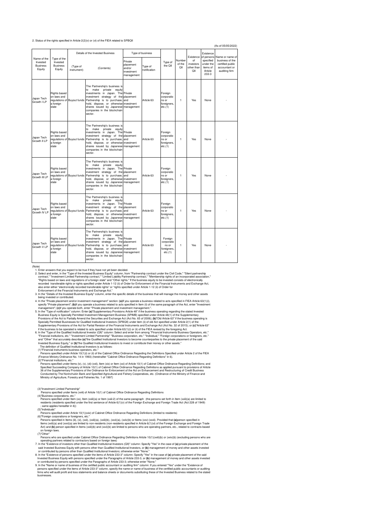## 2. Status of the rights specified in Article 2(2)(v) or (vi) of the FIEA related to SPBQII

|                                       |                                                          |                                  |                                                                                                                                                                                                                                                                                                              |                                                            |                         |                                                          |                         |                                    |                                                        | (As of 05/05/2022)                                                    |
|---------------------------------------|----------------------------------------------------------|----------------------------------|--------------------------------------------------------------------------------------------------------------------------------------------------------------------------------------------------------------------------------------------------------------------------------------------------------------|------------------------------------------------------------|-------------------------|----------------------------------------------------------|-------------------------|------------------------------------|--------------------------------------------------------|-----------------------------------------------------------------------|
| Name of the<br>Type of the            |                                                          | Details of the Invested Business |                                                                                                                                                                                                                                                                                                              | Type of business                                           |                         |                                                          |                         | Existence                          | Existence<br>of persons                                | Name or name of                                                       |
| Invested<br><b>Business</b><br>Equity | Invested<br><b>Business</b><br>Equity                    | (Type of<br>instrument)          | (Contents)                                                                                                                                                                                                                                                                                                   | Private<br>placement<br>and/or<br>investment<br>management | Type of<br>notification | Type of<br>the QII                                       | Number<br>of the<br>QII | of<br>investors<br>other than<br>Q | specified<br>under the<br>items of<br>Article<br>233-3 | business of the<br>certified public<br>accountant or<br>auditing firm |
| Japan Tech<br>Growth II P             | Rights based<br>on laws and<br>a foreign<br>state        | regulations of Buyout funds      | The Partnership's business is<br>make<br>private<br>equity<br>to<br>investments in Japan. The Private<br>investment strategy of the placement<br>Partnership is to purchase.<br>hold, dispose, or otherwise investment<br>shares issued by Japanese management<br>companies in the blockchain<br>sector.     | and                                                        | Article 63              | Foreign<br>corporatio<br>ns or<br>foreigners,<br>etc.(1) | $\mathbf{1}$            | Yes                                | None                                                   |                                                                       |
| Japan Tech<br>Growth II LP            | Rights based<br>on laws and<br>a foreign<br>state        | regulations of Buyout funds      | The Partnership's business is<br>equity<br>to<br>make<br>private<br>investments in Japan. The Private<br>investment strategy of the placement<br>Partnership is to purchase, and<br>hold, dispose, or otherwise investment<br>shares issued by Japanese management<br>companies in the blockchain<br>sector. |                                                            | Article 63              | Foreign<br>corporatio<br>ns or<br>foreigners,<br>etc.(1) | 1                       | Yes                                | None                                                   |                                                                       |
| Japan Tech<br>Growth III I P          | Rights based<br>on laws and<br>a foreign<br>state        | regulations of Buyout funds      | The Partnership's business is<br>make<br>private<br>to<br>eauity<br>investments in Japan. The Private<br>investment strategy of the placement<br>Partnership is to purchase, and<br>hold, dispose, or otherwise investment<br>shares issued by Japanese management<br>companies in the blockchain<br>sector. |                                                            | Article 63              | Foreign<br>corporatio<br>ns or<br>foreigners,<br>etc.(1) | 1                       | Yes                                | None                                                   |                                                                       |
| Japan Tech<br>Growth IV LP            | <b>Rights based</b><br>on laws and<br>a foreign<br>state | regulations of Buyout funds      | The Partnership's business is<br>to<br>make<br>private<br>equity<br>investments in Japan. The Private<br>investment strategy of the placement<br>Partnership is to purchase, and<br>hold, dispose, or otherwise investment<br>shares issued by Japanese management<br>companies in the blockchain<br>sector. |                                                            | Article 63              | Foreign<br>corporatio<br>ns or<br>foreigners.<br>etc.(1) | $\mathbf{1}$            | Yes                                | None                                                   |                                                                       |
| Japan Tech<br>Growth V LP             | <b>Rights based</b><br>on laws and<br>a foreign<br>state | regulations of Buyout funds      | The Partnership's business is<br>make<br>private<br>equity<br>to<br>investments in Japan. The Private<br>investment strategy of the placement<br>Partnership is to purchase,<br>hold, dispose, or otherwise investment<br>shares issued by Japanese management<br>companies in the blockchain<br>sector.     | and                                                        | Article 63              | Foreign<br>corporatio<br>ns or<br>foreigners.<br>etc.(1) | $\mathbf{1}$            | Yes                                | None                                                   |                                                                       |

(Note)<br>
1. Enter answers that you expect to be true if they have not yet been decided.<br>
2. Select and enter, in the Type of the Invested Business Equity" column, from "Partnership contract under the Civil Code," "Silent pa

being invested or contributed.<br>
4. In the "Private placement and/or investment management" section: (a)If you operate a business related to acts specified in FIEA Article 63(1)(i),<br>
4. In the "Private placement": (b)if you

36 of the Supplementary Provisions of the Ordinance for Enforcement of the Act on Enhancement and Restructuring of Credit Business<br>Conducted by The Norinchukin Bank and Specified Agricultural and Fishery Cooperatives, etc. Ministry of Agriculture, Forestry and Fisheries No. 1 of 1997)

(3)"Investment Limited Partnership"<br>
Persons specified under Items (xvii) of Article 10(1) of Cabinet Office Ordinance Regarding Definitions<br>
(4)"Business corporations, etc."<br>
Persons specified under Item (xx), tem (xxiii

(6)'Foreign corporations or foreigners, etc."<br>Persons specified in Items (iii), (vi), (xxiii)(a), (xxiii)(b), (xxvi)(a), (xxiv)(b) or Items (xxv)-(xxvii). Provided that (a)person specified in<br>Items (xxiii)(a) and (xxvi)(a)

Act) and (b) persons who are operating partners (xiii)(b) and (xov)(b) are limited to persons who are operating partners, etc., related to contracts based<br>
(7)"Other"<br>
2017 (Political Presens who are specified under Cabin